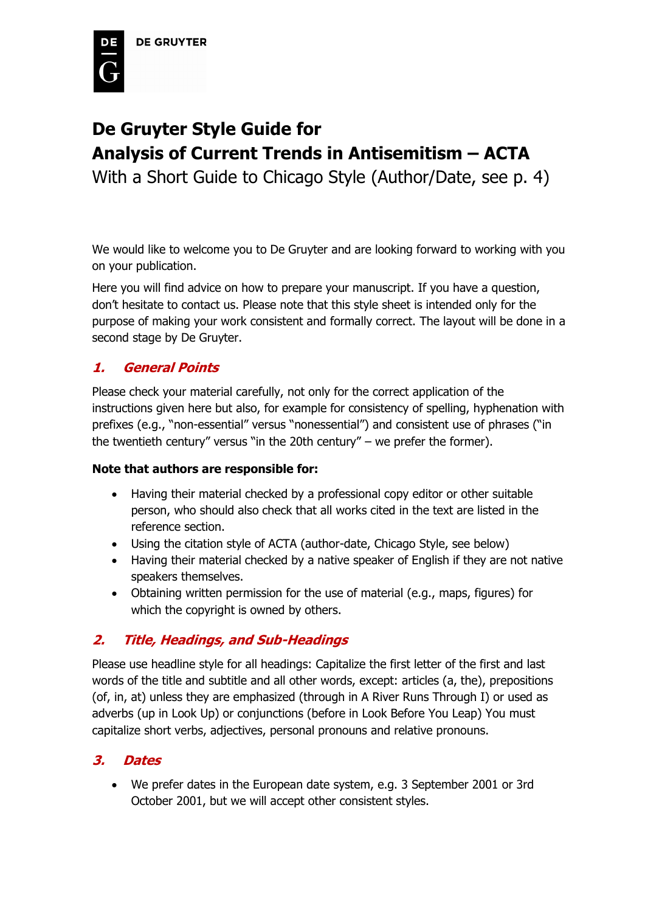

# **De Gruyter Style Guide for Analysis of Current Trends in Antisemitism – ACTA**

With a Short Guide to Chicago Style (Author/Date, see p. 4)

We would like to welcome you to De Gruyter and are looking forward to working with you on your publication.

Here you will find advice on how to prepare your manuscript. If you have a question, don't hesitate to contact us. Please note that this style sheet is intended only for the purpose of making your work consistent and formally correct. The layout will be done in a second stage by De Gruyter.

### **1. General Points**

Please check your material carefully, not only for the correct application of the instructions given here but also, for example for consistency of spelling, hyphenation with prefixes (e.g., "non-essential" versus "nonessential") and consistent use of phrases ("in the twentieth century" versus "in the 20th century" – we prefer the former).

### **Note that authors are responsible for:**

- Having their material checked by a professional copy editor or other suitable person, who should also check that all works cited in the text are listed in the reference section.
- Using the citation style of ACTA (author-date, Chicago Style, see below)
- Having their material checked by a native speaker of English if they are not native speakers themselves.
- Obtaining written permission for the use of material (e.g., maps, figures) for which the copyright is owned by others.

### **2. Title, Headings, and Sub-Headings**

Please use headline style for all headings: Capitalize the first letter of the first and last words of the title and subtitle and all other words, except: articles (a, the), prepositions (of, in, at) unless they are emphasized (through in A River Runs Through I) or used as adverbs (up in Look Up) or conjunctions (before in Look Before You Leap) You must capitalize short verbs, adjectives, personal pronouns and relative pronouns.

### **3. Dates**

• We prefer dates in the European date system, e.g. 3 September 2001 or 3rd October 2001, but we will accept other consistent styles.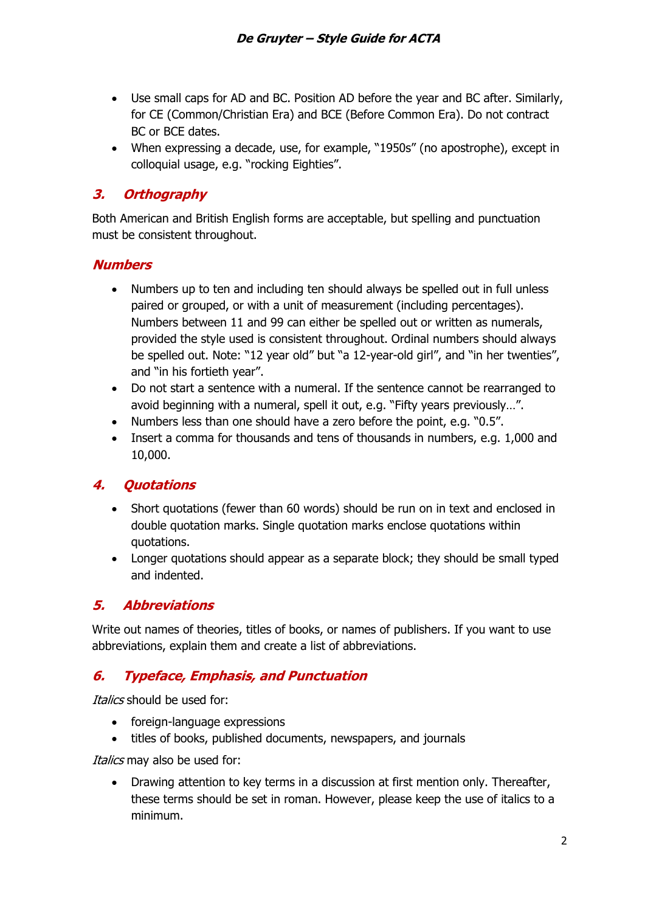- Use small caps for AD and BC. Position AD before the year and BC after. Similarly, for CE (Common/Christian Era) and BCE (Before Common Era). Do not contract BC or BCE dates.
- When expressing a decade, use, for example, "1950s" (no apostrophe), except in colloquial usage, e.g. "rocking Eighties".

# **3. Orthography**

Both American and British English forms are acceptable, but spelling and punctuation must be consistent throughout.

### **Numbers**

- Numbers up to ten and including ten should always be spelled out in full unless paired or grouped, or with a unit of measurement (including percentages). Numbers between 11 and 99 can either be spelled out or written as numerals, provided the style used is consistent throughout. Ordinal numbers should always be spelled out. Note: "12 year old" but "a 12-year-old girl", and "in her twenties", and "in his fortieth year".
- Do not start a sentence with a numeral. If the sentence cannot be rearranged to avoid beginning with a numeral, spell it out, e.g. "Fifty years previously…".
- Numbers less than one should have a zero before the point, e.g. "0.5".
- Insert a comma for thousands and tens of thousands in numbers, e.g. 1,000 and 10,000.

# **4. Quotations**

- Short quotations (fewer than 60 words) should be run on in text and enclosed in double quotation marks. Single quotation marks enclose quotations within quotations.
- Longer quotations should appear as a separate block; they should be small typed and indented.

# **5. Abbreviations**

Write out names of theories, titles of books, or names of publishers. If you want to use abbreviations, explain them and create a list of abbreviations.

# **6. Typeface, Emphasis, and Punctuation**

Italics should be used for:

- foreign-language expressions
- titles of books, published documents, newspapers, and journals

Italics may also be used for:

• Drawing attention to key terms in a discussion at first mention only. Thereafter, these terms should be set in roman. However, please keep the use of italics to a minimum.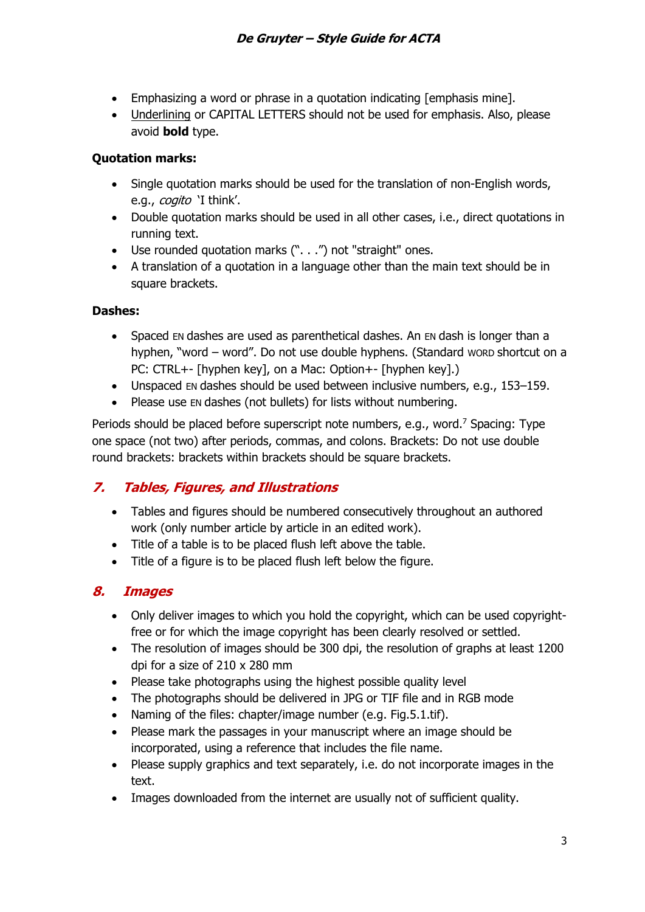- Emphasizing a word or phrase in a quotation indicating [emphasis mine].
- Underlining or CAPITAL LETTERS should not be used for emphasis. Also, please avoid **bold** type.

### **Quotation marks:**

- Single quotation marks should be used for the translation of non-English words, e.g., *cogito* 'I think'.
- Double quotation marks should be used in all other cases, i.e., direct quotations in running text.
- Use rounded quotation marks (". . .") not "straight" ones.
- A translation of a quotation in a language other than the main text should be in square brackets.

### **Dashes:**

- Spaced EN dashes are used as parenthetical dashes. An EN dash is longer than a hyphen, "word – word". Do not use double hyphens. (Standard WORD shortcut on a PC: CTRL+- [hyphen key], on a Mac: Option+- [hyphen key].)
- Unspaced EN dashes should be used between inclusive numbers, e.g., 153–159.
- Please use EN dashes (not bullets) for lists without numbering.

Periods should be placed before superscript note numbers, e.g., word.<sup>7</sup> Spacing: Type one space (not two) after periods, commas, and colons. Brackets: Do not use double round brackets: brackets within brackets should be square brackets.

### **7. Tables, Figures, and Illustrations**

- Tables and figures should be numbered consecutively throughout an authored work (only number article by article in an edited work).
- Title of a table is to be placed flush left above the table.
- Title of a figure is to be placed flush left below the figure.

### **8. Images**

- Only deliver images to which you hold the copyright, which can be used copyrightfree or for which the image copyright has been clearly resolved or settled.
- The resolution of images should be 300 dpi, the resolution of graphs at least 1200 dpi for a size of 210 x 280 mm
- Please take photographs using the highest possible quality level
- The photographs should be delivered in JPG or TIF file and in RGB mode
- Naming of the files: chapter/image number (e.g. Fig.5.1.tif).
- Please mark the passages in your manuscript where an image should be incorporated, using a reference that includes the file name.
- Please supply graphics and text separately, i.e. do not incorporate images in the text.
- Images downloaded from the internet are usually not of sufficient quality.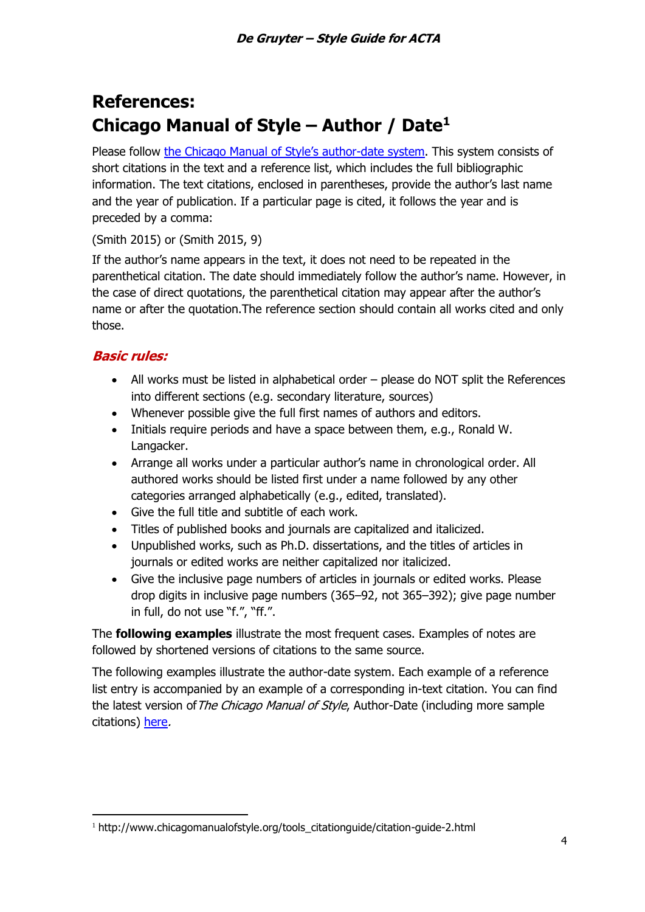# **References: Chicago Manual of Style – Author / Date<sup>1</sup>**

Please follow [the Chicago Manual of Style's author](https://www.chicagomanualofstyle.org/tools_citationguide/citation-guide-2.html)-date system. This system consists of short citations in the text and a reference list, which includes the full bibliographic information. The text citations, enclosed in parentheses, provide the author's last name and the year of publication. If a particular page is cited, it follows the year and is preceded by a comma:

(Smith 2015) or (Smith 2015, 9)

If the author's name appears in the text, it does not need to be repeated in the parenthetical citation. The date should immediately follow the author's name. However, in the case of direct quotations, the parenthetical citation may appear after the author's name or after the quotation.The reference section should contain all works cited and only those.

### **Basic rules:**

- All works must be listed in alphabetical order please do NOT split the References into different sections (e.g. secondary literature, sources)
- Whenever possible give the full first names of authors and editors.
- Initials require periods and have a space between them, e.g., Ronald W. Langacker.
- Arrange all works under a particular author's name in chronological order. All authored works should be listed first under a name followed by any other categories arranged alphabetically (e.g., edited, translated).
- Give the full title and subtitle of each work.
- Titles of published books and journals are capitalized and italicized.
- Unpublished works, such as Ph.D. dissertations, and the titles of articles in journals or edited works are neither capitalized nor italicized.
- Give the inclusive page numbers of articles in journals or edited works. Please drop digits in inclusive page numbers (365–92, not 365–392); give page number in full, do not use "f.", "ff.".

The **following examples** illustrate the most frequent cases. Examples of notes are followed by shortened versions of citations to the same source.

The following examples illustrate the author-date system. Each example of a reference list entry is accompanied by an example of a corresponding in-text citation. You can find the latest version of The Chicago Manual of Style, Author-Date (including more sample citations) [here](https://www.chicagomanualofstyle.org/tools_citationguide/citation-guide-2.html).

<sup>&</sup>lt;sup>1</sup> http://www.chicagomanualofstyle.org/tools\_citationguide/citation-guide-2.html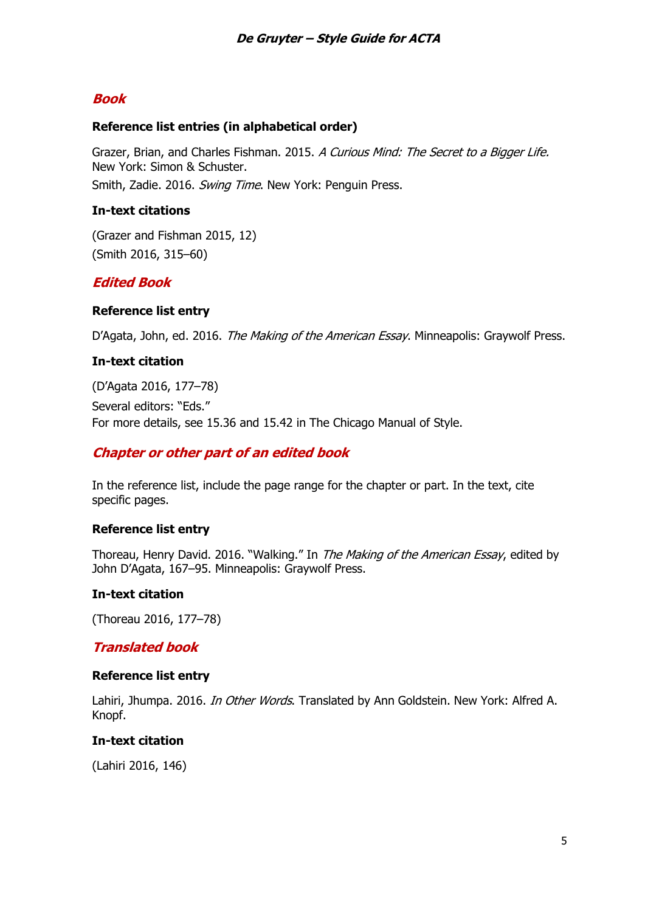### **Book**

### **Reference list entries (in alphabetical order)**

Grazer, Brian, and Charles Fishman. 2015. A Curious Mind: The Secret to a Bigger Life. New York: Simon & Schuster. Smith, Zadie. 2016. Swing Time. New York: Penguin Press.

### **In-text citations**

(Grazer and Fishman 2015, 12) (Smith 2016, 315–60)

### **Edited Book**

### **Reference list entry**

D'Agata, John, ed. 2016. The Making of the American Essay. Minneapolis: Graywolf Press.

### **In-text citation**

(D'Agata 2016, 177–78) Several editors: "Eds." For more details, see [15.36](http://www.chicagomanualofstyle.org/book/ed17/part3/ch15/psec036.html) and [15.42](http://www.chicagomanualofstyle.org/book/ed17/part3/ch15/psec042.html) in The Chicago Manual of Style.

### **Chapter or other part of an edited book**

In the reference list, include the page range for the chapter or part. In the text, cite specific pages.

### **Reference list entry**

Thoreau, Henry David. 2016. "Walking." In The Making of the American Essay, edited by John D'Agata, 167–95. Minneapolis: Graywolf Press.

### **In-text citation**

(Thoreau 2016, 177–78)

### **Translated book**

#### **Reference list entry**

Lahiri, Jhumpa. 2016. *In Other Words*. Translated by Ann Goldstein. New York: Alfred A. Knopf.

### **In-text citation**

(Lahiri 2016, 146)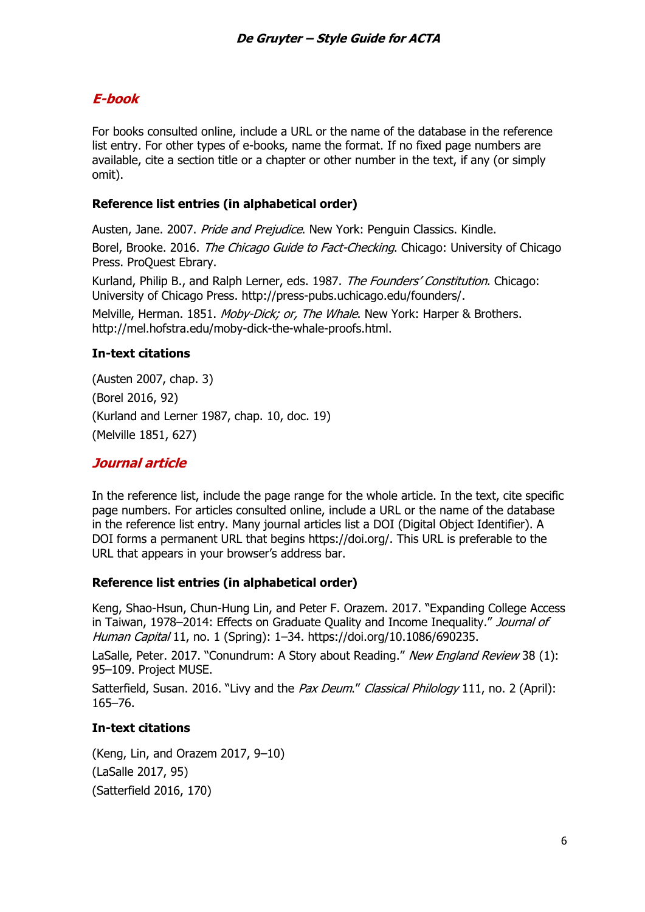## **E-book**

For books consulted online, include a URL or the name of the database in the reference list entry. For other types of e-books, name the format. If no fixed page numbers are available, cite a section title or a chapter or other number in the text, if any (or simply omit).

### **Reference list entries (in alphabetical order)**

Austen, Jane. 2007. Pride and Prejudice. New York: Penguin Classics. Kindle.

Borel, Brooke. 2016. The Chicago Guide to Fact-Checking. Chicago: University of Chicago Press. ProQuest Ebrary.

Kurland, Philip B., and Ralph Lerner, eds. 1987. The Founders' Constitution. Chicago: University of Chicago Press. http://press-pubs.uchicago.edu/founders/.

Melville, Herman. 1851. Moby-Dick; or, The Whale. New York: Harper & Brothers. http://mel.hofstra.edu/moby-dick-the-whale-proofs.html.

### **In-text citations**

(Austen 2007, chap. 3) (Borel 2016, 92) (Kurland and Lerner 1987, chap. 10, doc. 19) (Melville 1851, 627)

### **Journal article**

In the reference list, include the page range for the whole article. In the text, cite specific page numbers. For articles consulted online, include a URL or the name of the database in the reference list entry. Many journal articles list a DOI (Digital Object Identifier). A DOI forms a permanent URL that begins https://doi.org/. This URL is preferable to the URL that appears in your browser's address bar.

### **Reference list entries (in alphabetical order)**

Keng, Shao-Hsun, Chun-Hung Lin, and Peter F. Orazem. 2017. "Expanding College Access in Taiwan, 1978–2014: Effects on Graduate Quality and Income Inequality." Journal of Human Capital 11, no. 1 (Spring): 1–34. https://doi.org/10.1086/690235.

LaSalle, Peter. 2017. "Conundrum: A Story about Reading." New England Review 38 (1): 95–109. Project MUSE.

Satterfield, Susan. 2016. "Livy and the Pax Deum." Classical Philology 111, no. 2 (April): 165–76.

### **In-text citations**

(Keng, Lin, and Orazem 2017, 9–10) (LaSalle 2017, 95) (Satterfield 2016, 170)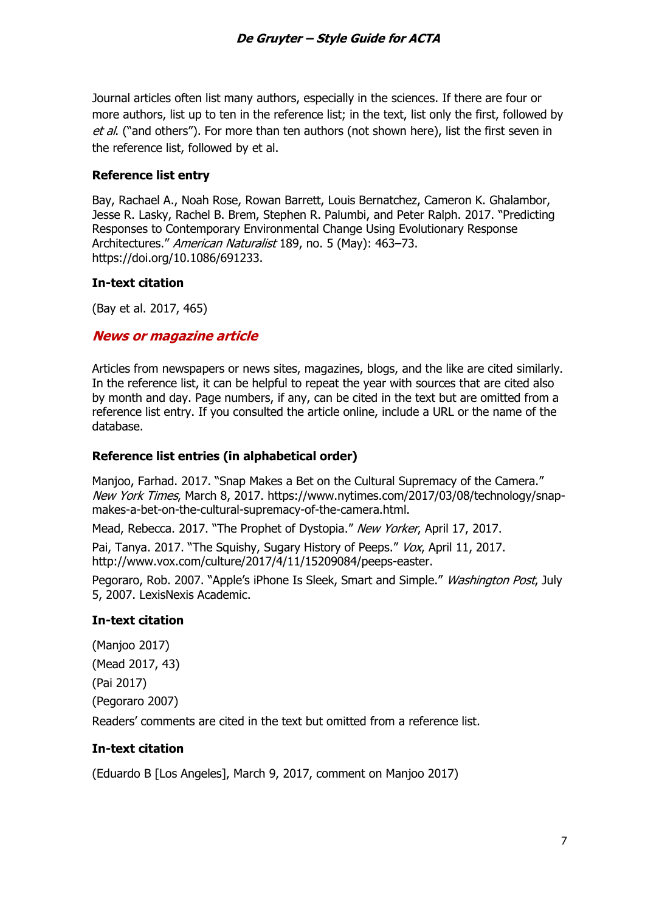Journal articles often list many authors, especially in the sciences. If there are four or more authors, list up to ten in the reference list; in the text, list only the first, followed by et al. ("and others"). For more than ten authors (not shown here), list the first seven in the reference list, followed by et al.

### **Reference list entry**

Bay, Rachael A., Noah Rose, Rowan Barrett, Louis Bernatchez, Cameron K. Ghalambor, Jesse R. Lasky, Rachel B. Brem, Stephen R. Palumbi, and Peter Ralph. 2017. "Predicting Responses to Contemporary Environmental Change Using Evolutionary Response Architectures." American Naturalist 189, no. 5 (May): 463-73. https://doi.org/10.1086/691233.

#### **In-text citation**

(Bay et al. 2017, 465)

### **News or magazine article**

Articles from newspapers or news sites, magazines, blogs, and the like are cited similarly. In the reference list, it can be helpful to repeat the year with sources that are cited also by month and day. Page numbers, if any, can be cited in the text but are omitted from a reference list entry. If you consulted the article online, include a URL or the name of the database.

#### **Reference list entries (in alphabetical order)**

Manjoo, Farhad. 2017. "Snap Makes a Bet on the Cultural Supremacy of the Camera." New York Times, March 8, 2017. https://www.nytimes.com/2017/03/08/technology/snapmakes-a-bet-on-the-cultural-supremacy-of-the-camera.html.

Mead, Rebecca. 2017. "The Prophet of Dystopia." New Yorker, April 17, 2017.

Pai, Tanya. 2017. "The Squishy, Sugary History of Peeps." Vox, April 11, 2017. http://www.vox.com/culture/2017/4/11/15209084/peeps-easter.

Pegoraro, Rob. 2007. "Apple's iPhone Is Sleek, Smart and Simple." *Washington Post*, July 5, 2007. LexisNexis Academic.

### **In-text citation**

(Manjoo 2017) (Mead 2017, 43) (Pai 2017) (Pegoraro 2007) Readers' comments are cited in the text but omitted from a reference list.

### **In-text citation**

(Eduardo B [Los Angeles], March 9, 2017, comment on Manjoo 2017)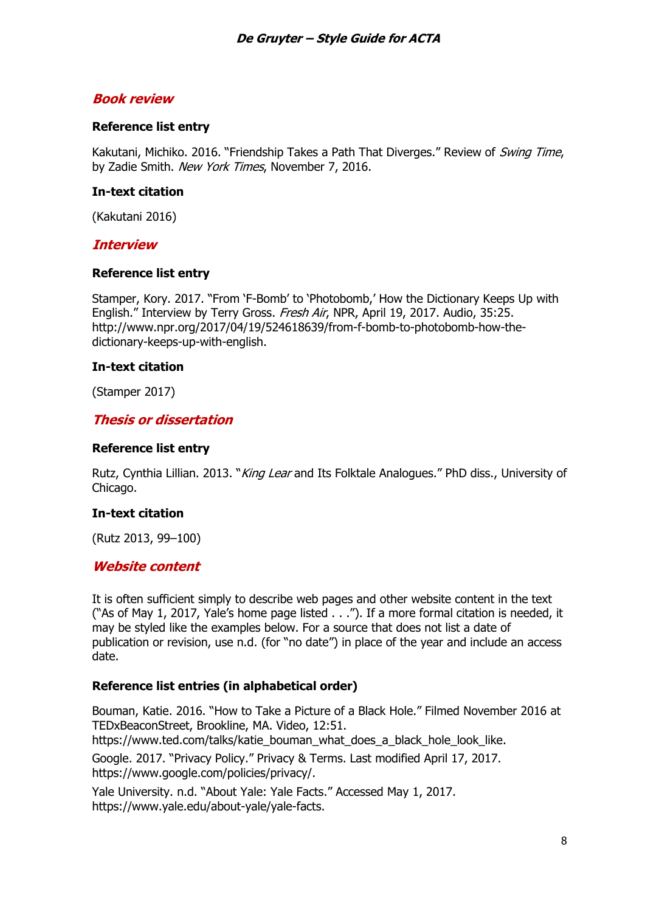### **Book review**

### **Reference list entry**

Kakutani, Michiko. 2016. "Friendship Takes a Path That Diverges." Review of Swing Time, by Zadie Smith. New York Times, November 7, 2016.

#### **In-text citation**

(Kakutani 2016)

### **Interview**

#### **Reference list entry**

Stamper, Kory. 2017. "From 'F-Bomb' to 'Photobomb,' How the Dictionary Keeps Up with English." Interview by Terry Gross. Fresh Air, NPR, April 19, 2017. Audio, 35:25. http://www.npr.org/2017/04/19/524618639/from-f-bomb-to-photobomb-how-thedictionary-keeps-up-with-english.

#### **In-text citation**

(Stamper 2017)

### **Thesis or dissertation**

#### **Reference list entry**

Rutz, Cynthia Lillian. 2013. "*King Lear* and Its Folktale Analogues." PhD diss., University of Chicago.

### **In-text citation**

(Rutz 2013, 99–100)

### **Website content**

It is often sufficient simply to describe web pages and other website content in the text ("As of May 1, 2017, Yale's home page listed . . ."). If a more formal citation is needed, it may be styled like the examples below. For a source that does not list a date of publication or revision, use n.d. (for "no date") in place of the year and include an access date.

### **Reference list entries (in alphabetical order)**

Bouman, Katie. 2016. "How to Take a Picture of a Black Hole." Filmed November 2016 at TEDxBeaconStreet, Brookline, MA. Video, 12:51. https://www.ted.com/talks/katie\_bouman\_what\_does\_a\_black\_hole\_look\_like.

Google. 2017. "Privacy Policy." Privacy & Terms. Last modified April 17, 2017. https://www.google.com/policies/privacy/.

Yale University. n.d. "About Yale: Yale Facts." Accessed May 1, 2017. https://www.yale.edu/about-yale/yale-facts.